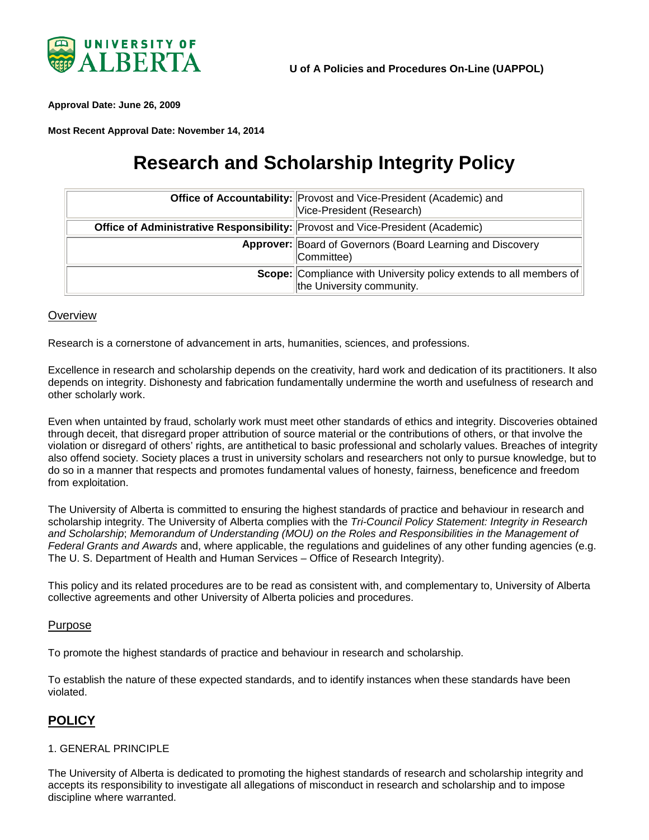

<span id="page-0-0"></span>**Approval Date: June 26, 2009**

**Most Recent Approval Date: November 14, 2014**

# **Research and Scholarship Integrity Policy**

|                                                                                | Office of Accountability: Provost and Vice-President (Academic) and<br>Vice-President (Research) |
|--------------------------------------------------------------------------------|--------------------------------------------------------------------------------------------------|
| Office of Administrative Responsibility: Provost and Vice-President (Academic) |                                                                                                  |
|                                                                                | Approver: Board of Governors (Board Learning and Discovery<br>Committee)                         |
|                                                                                | Scope: Compliance with University policy extends to all members of<br>the University community.  |

#### **Overview**

Research is a cornerstone of advancement in arts, humanities, sciences, and professions.

Excellence in research and scholarship depends on the creativity, hard work and dedication of its practitioners. It also depends on integrity. Dishonesty and fabrication fundamentally undermine the worth and usefulness of research and other scholarly work.

Even when untainted by fraud, scholarly work must meet other standards of ethics and integrity. Discoveries obtained through deceit, that disregard proper attribution of source material or the contributions of others, or that involve the violation or disregard of others' rights, are antithetical to basic professional and scholarly values. Breaches of integrity also offend society. Society places a trust in university scholars and researchers not only to pursue knowledge, but to do so in a manner that respects and promotes fundamental values of honesty, fairness, beneficence and freedom from exploitation.

The University of Alberta is committed to ensuring the highest standards of practice and behaviour in research and scholarship integrity. The University of Alberta complies with the *Tri-Council Policy Statement: Integrity in Research and [Schola](http://www.nserc-crsng.gc.ca/nserc-crsng/policies-politiques/mouroles-protocolroles/4-integrity-integrite_eng.asp)rship*; *Memorandum of Understanding (MOU) on the Roles and Responsibilities in the Management of Federal Grants and Awards* and, where applicable, the regulations and guidelines of any other funding agencies (e.g. The U. S. Department of Health and Human Services – Office of Research Integrity).

This policy and its related procedures are to be read as consistent with, and complementary to, University of Alberta collective agreements and other University of Alberta policies and procedures.

#### Purpose

To promote the highest standards of practice and behaviour in research and scholarship.

To establish the nature of these expected standards, and to identify instances when these standards have been violated.

## **POLICY**

#### 1. GENERAL PRINCIPLE

The University of Alberta is dedicated to promoting the highest standards of research and scholarship integrity and accepts its responsibility to investigate all allegations of misconduct in research and scholarship and to impose discipline where warranted.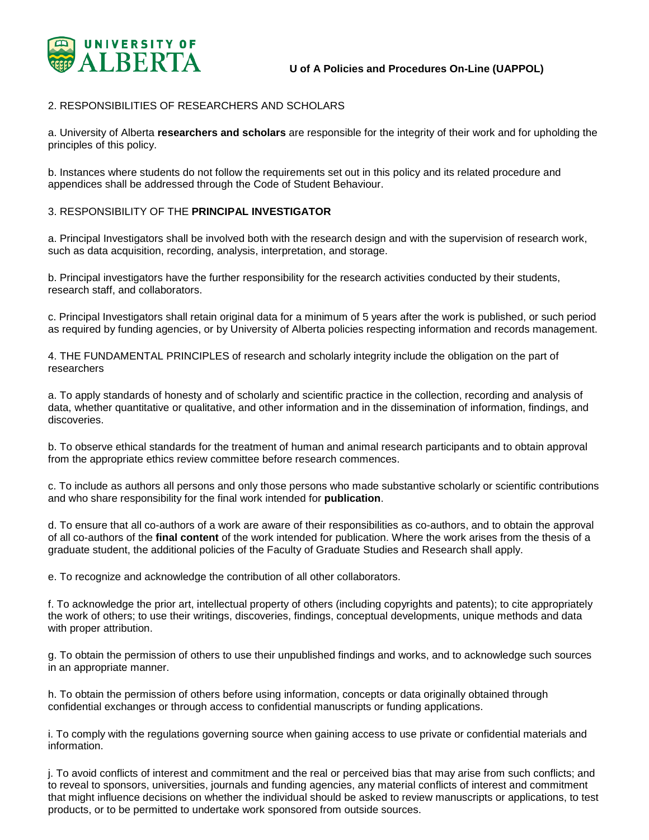

#### 2. RESPONSIBILITIES OF RESEARCHERS AND SCHOLARS

a. University of Alberta **researchers and scholars** are responsible for the integrity of their work and for upholding the principles of this policy.

b. Instances where students do not follow the requirements set out in this policy and its related procedure and appendices shall be addressed through the Code of Student Behaviour.

#### 3. RESPONSIBILITY OF THE **PRINCIPAL INVESTIGATOR**

a. Principal Investigators shall be involved both with the research design and with the supervision of research work, such as data acquisition, recording, analysis, interpretation, and storage.

b. Principal investigators have the further responsibility for the research activities conducted by their students, research staff, and collaborators.

c. Principal Investigators shall retain original data for a minimum of 5 years after the work is published, or such period as required by funding agencies, or by University of Alberta policies respecting information and records management.

4. THE FUNDAMENTAL PRINCIPLES of research and scholarly integrity include the obligation on the part of researchers

a. To apply standards of honesty and of scholarly and scientific practice in the collection, recording and analysis of data, whether quantitative or qualitative, and other information and in the dissemination of information, findings, and discoveries.

b. To observe ethical standards for the treatment of human and animal research participants and to obtain approval from the appropriate ethics review committee before research commences.

c. To include as authors all persons and only those persons who made substantive scholarly or scientific contributions and who share responsibility for the final work intended for **publication**.

d. To ensure that all co-authors of a work are aware of their responsibilities as co-authors, and to obtain the approval of all co-authors of the **final content** of the work intended for publication. Where the work arises from the thesis of a graduate student, the additional policies of the Faculty of Graduate Studies and Research shall apply.

e. To recognize and acknowledge the contribution of all other collaborators.

f. To acknowledge the prior art, intellectual property of others (including copyrights and patents); to cite appropriately the work of others; to use their writings, discoveries, findings, conceptual developments, unique methods and data with proper attribution.

g. To obtain the permission of others to use their unpublished findings and works, and to acknowledge such sources in an appropriate manner.

h. To obtain the permission of others before using information, concepts or data originally obtained through confidential exchanges or through access to confidential manuscripts or funding applications.

i. To comply with the regulations governing source when gaining access to use private or confidential materials and information.

j. To avoid conflicts of interest and commitment and the real or perceived bias that may arise from such conflicts; and to reveal to sponsors, universities, journals and funding agencies, any material conflicts of interest and commitment that might influence decisions on whether the individual should be asked to review manuscripts or applications, to test products, or to be permitted to undertake work sponsored from outside sources.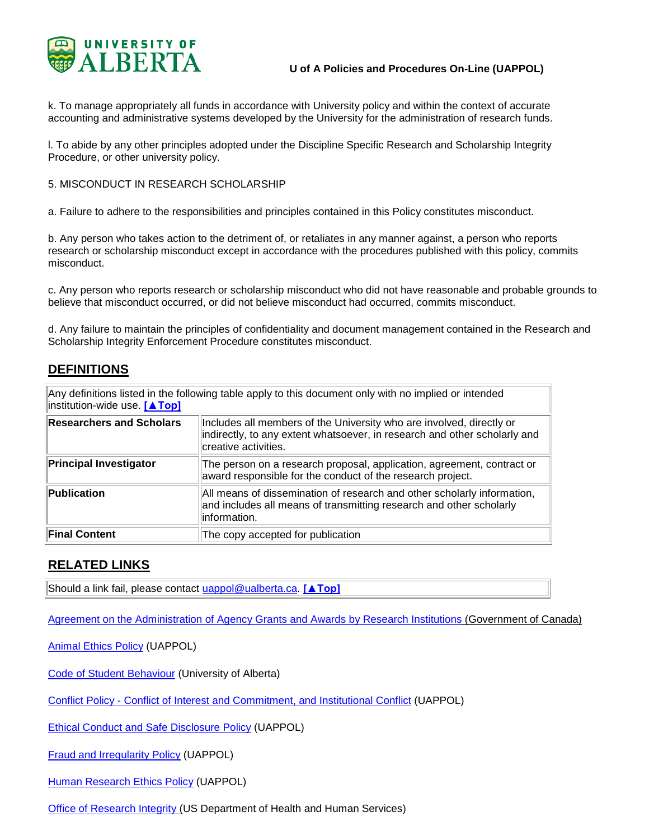

k. To manage appropriately all funds in accordance with University policy and within the context of accurate accounting and administrative systems developed by the University for the administration of research funds.

l. To abide by any other principles adopted under the Discipline Specific Research and Scholarship Integrity Procedure, or other university policy.

#### 5. MISCONDUCT IN RESEARCH SCHOLARSHIP

a. Failure to adhere to the responsibilities and principles contained in this Policy constitutes misconduct.

b. Any person who takes action to the detriment of, or retaliates in any manner against, a person who reports research or scholarship misconduct except in accordance with the procedures published with this policy, commits misconduct.

c. Any person who reports research or scholarship misconduct who did not have reasonable and probable grounds to believe that misconduct occurred, or did not believe misconduct had occurred, commits misconduct.

d. Any failure to maintain the principles of confidentiality and document management contained in the Research and Scholarship Integrity Enforcement Procedure constitutes misconduct.

## **DEFINITIONS**

| Any definitions listed in the following table apply to this document only with no implied or intended<br>institution-wide use. [▲Top] |                                                                                                                                                                           |
|---------------------------------------------------------------------------------------------------------------------------------------|---------------------------------------------------------------------------------------------------------------------------------------------------------------------------|
| <b>Researchers and Scholars</b>                                                                                                       | Includes all members of the University who are involved, directly or<br>indirectly, to any extent whatsoever, in research and other scholarly and<br>creative activities. |
| <b>Principal Investigator</b>                                                                                                         | The person on a research proposal, application, agreement, contract or<br>award responsible for the conduct of the research project.                                      |
| Publication                                                                                                                           | All means of dissemination of research and other scholarly information,<br>and includes all means of transmitting research and other scholarly<br>linformation.           |
| <b>Final Content</b>                                                                                                                  | The copy accepted for publication                                                                                                                                         |

## **RELATED LINKS**

Should a link fail, please contact [uappol@ualberta.ca.](mailto:uappol@ualberta.ca) **[\[▲Top\]](#page-0-0)**

[Agreement on the Administration of Agency Grants and Awards by Research Institutions](http://science.gc.ca/default.asp?lang=En&n=56B87BE5-1) (Government of Canada)

[Animal Ethics Policy](https://policiesonline.ualberta.ca/PoliciesProcedures/Policies/Animal-Ethics-Policy.pdf) (UAPPOL)

[Code of Student Behaviour](http://www.governance.ualberta.ca/CodesofConductandResidenceCommunityStandards/CodeofStudentBehaviour.aspx) (University of Alberta)

Conflict Policy - [Conflict of Interest and Commitment, and Institutional Conflict](https://policiesonline.ualberta.ca/PoliciesProcedures/Policies/Conflict-Policy--Conflict-of-Interest-and-Commitment-and-Institutional-Conflict.pdf) (UAPPOL)

[Ethical Conduct and Safe Disclosure Policy](https://policiesonline.ualberta.ca/PoliciesProcedures/Policies/Ethical-Conduct-and-Safe-Disclosure-Policy.pdf) (UAPPOL)

[Fraud and Irregularity Policy](https://policiesonline.ualberta.ca/policiesprocedures/policies/fraud-and-irregularity-policy.pdf) (UAPPOL)

[Human Research Ethics Policy](https://policiesonline.ualberta.ca/PoliciesProcedures/Policies/Human-Research-Ethics-Policy.pdf) (UAPPOL)

**[Office of Research Integrity](http://www.ori.dhhs.gov/) (US Department of Health and Human Services)**